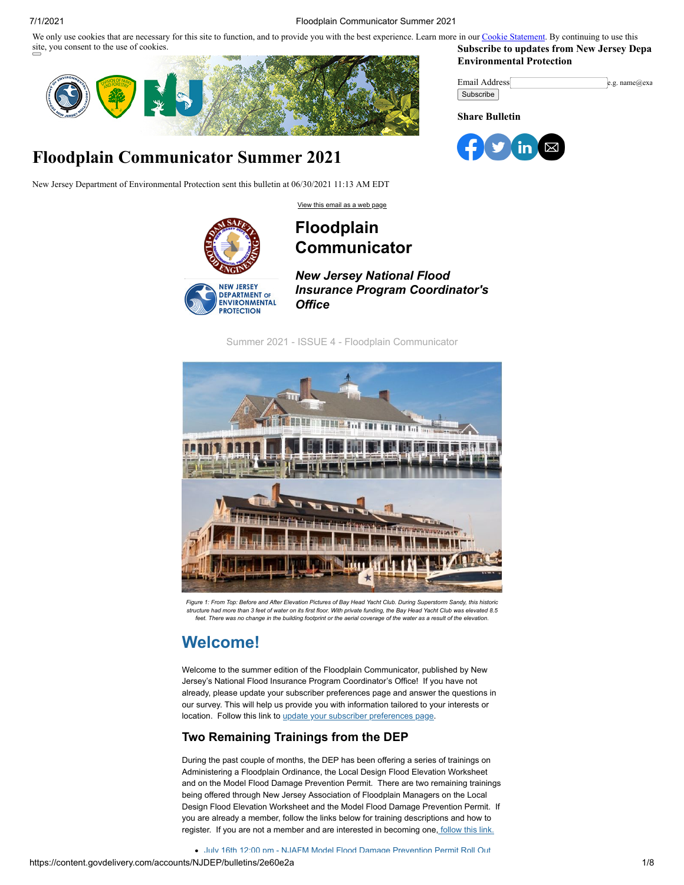We only use cookies that are necessary for this site to function, and to provide you with the best experience. Learn more in our [Cookie Statement.](https://subscriberhelp.granicus.com/s/article/Cookies) By continuing to use this site, you consent to the use of cookies. **Subscribe to updates from New Jersey Depa**

<span id="page-0-0"></span>

# **Floodplain Communicator Summer 2021**

New Jersey Department of Environmental Protection sent this bulletin at 06/30/2021 11:13 AM EDT

[View this email as a web page](https://content.govdelivery.com/accounts/NJDEP/bulletins/2e60e2a)



### **Floodplain Communicator**



*New Jersey National Flood Insurance Program Coordinator's Office*

Summer 2021 - ISSUE 4 - Floodplain Communicator



Figure 1: From Top: Before and After Elevation Pictures of Bay Head Yacht Club, During Superstorm Sandy, this historic structure had more than 3 feet of water on its first floor. With private funding, the Bay Head Yacht Club was elevated 8.5 feet. There was no change in the building footprint or the aerial coverage of the water as a result of the elevation

# **Welcome!**

Welcome to the summer edition of the Floodplain Communicator, published by New Jersey's National Flood Insurance Program Coordinator's Office! If you have not already, please update your subscriber preferences page and answer the questions in our survey. This will help us provide you with information tailored to your interests or location. Follow this link to [update your subscriber preferences page.](https://public.govdelivery.com/accounts/NJDEP/subscriber/edit?preferences=true#tab1)

### **Two Remaining Trainings from the DEP**

During the past couple of months, the DEP has been offering a series of trainings on Administering a Floodplain Ordinance, the Local Design Flood Elevation Worksheet and on the Model Flood Damage Prevention Permit. There are two remaining trainings being offered through New Jersey Association of Floodplain Managers on the Local Design Flood Elevation Worksheet and the Model Flood Damage Prevention Permit. If you are already a member, follow the links below for training descriptions and how to register. If you are not a member and are interested in becoming one, [follow this link.](https://www.njafm.org/membership.html?utm_medium=email&utm_source=govdelivery)

**Environmental Protection**

| Email Address | e.g. $name@exa$ |
|---------------|-----------------|
| Subscribe     |                 |

**Share Bulletin**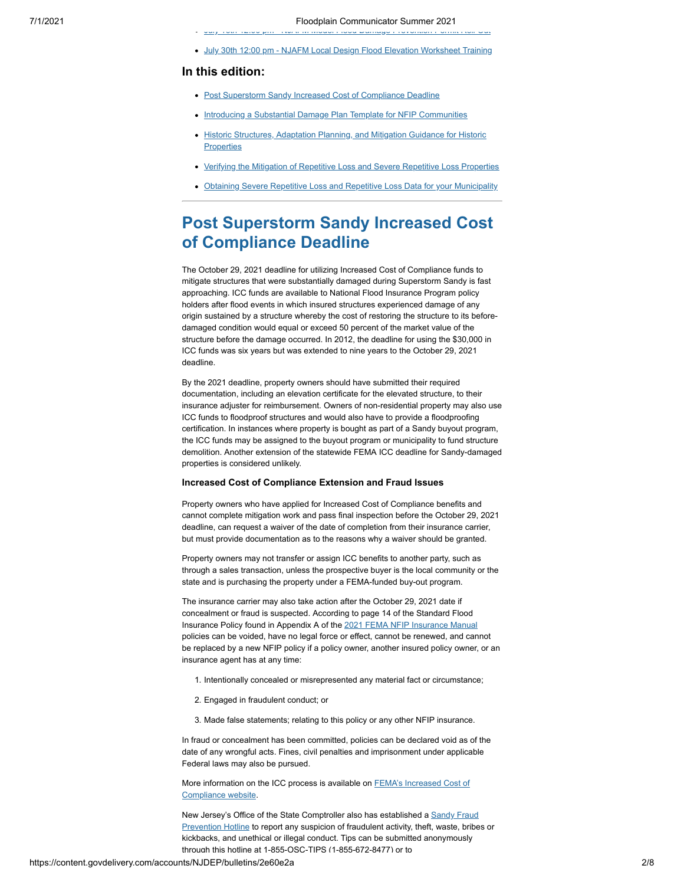[July 16th 12:00 pm NJAFM Model Flood Damage Prevention Permit Roll Out](https://www.njafm.org/july16.html?utm_medium=email&utm_source=govdelivery) [July 30th 12:00 pm - NJAFM Local Design Flood Elevation Worksheet Training](https://www.njafm.org/july30.html?utm_medium=email&utm_source=govdelivery)

#### **In this edition:**

- [Post Superstorm Sandy Increased Cost of Compliance Deadline](#page-1-0)
- [Introducing a Substantial Damage Plan Template for NFIP Communities](#page-4-0)
- [Historic Structures, Adaptation Planning, and Mitigation Guidance for Historic](#page-5-0) **Properties**
- [Verifying the Mitigation of Repetitive Loss and Severe Repetitive Loss Properties](#page-6-0)
- [Obtaining Severe Repetitive Loss and Repetitive Loss Data for your Municipality](#page-7-0)

### <span id="page-1-0"></span>**Post Superstorm Sandy Increased Cost of Compliance Deadline**

The October 29, 2021 deadline for utilizing Increased Cost of Compliance funds to mitigate structures that were substantially damaged during Superstorm Sandy is fast approaching. ICC funds are available to National Flood Insurance Program policy holders after flood events in which insured structures experienced damage of any origin sustained by a structure whereby the cost of restoring the structure to its beforedamaged condition would equal or exceed 50 percent of the market value of the structure before the damage occurred. In 2012, the deadline for using the \$30,000 in ICC funds was six years but was extended to nine years to the October 29, 2021 deadline.

By the 2021 deadline, property owners should have submitted their required documentation, including an elevation certificate for the elevated structure, to their insurance adjuster for reimbursement. Owners of non-residential property may also use ICC funds to floodproof structures and would also have to provide a floodproofing certification. In instances where property is bought as part of a Sandy buyout program, the ICC funds may be assigned to the buyout program or municipality to fund structure demolition. Another extension of the statewide FEMA ICC deadline for Sandy-damaged properties is considered unlikely.

#### **Increased Cost of Compliance Extension and Fraud Issues**

Property owners who have applied for Increased Cost of Compliance benefits and cannot complete mitigation work and pass final inspection before the October 29, 2021 deadline, can request a waiver of the date of completion from their insurance carrier, but must provide documentation as to the reasons why a waiver should be granted.

Property owners may not transfer or assign ICC benefits to another party, such as through a sales transaction, unless the prospective buyer is the local community or the state and is purchasing the property under a FEMA-funded buy-out program.

The insurance carrier may also take action after the October 29, 2021 date if concealment or fraud is suspected. According to page 14 of the Standard Flood Insurance Policy found in Appendix A of the [2021 FEMA NFIP Insurance Manual](https://www.fema.gov/flood-insurance/work-with-nfip/manuals/current?utm_medium=email&utm_source=govdelivery&wdLOR=cAE931306-2B3D-41E6-A9C0-49289B716F36&web=1) policies can be voided, have no legal force or effect, cannot be renewed, and cannot be replaced by a new NFIP policy if a policy owner, another insured policy owner, or an insurance agent has at any time:

- 1. Intentionally concealed or misrepresented any material fact or circumstance;
- 2. Engaged in fraudulent conduct; or
- 3. Made false statements; relating to this policy or any other NFIP insurance.

In fraud or concealment has been committed, policies can be declared void as of the date of any wrongful acts. Fines, civil penalties and imprisonment under applicable Federal laws may also be pursued.

More information on the ICC process is available on **FEMA's Increased Cost of** Compliance website.

[New Jersey's Office of the State Comptroller also has established a Sandy Fraud](https://www.nj.gov/dca/divisions/sandyrecovery/pdf/sandy_fraud_poster.pdf?utm_medium=email&utm_source=govdelivery) Prevention Hotline to report any suspicion of fraudulent activity, theft, waste, bribes or kickbacks, and unethical or illegal conduct. Tips can be submitted anonymously through this hotline at 1-855-OSC-TIPS (1-855-672-8477) or to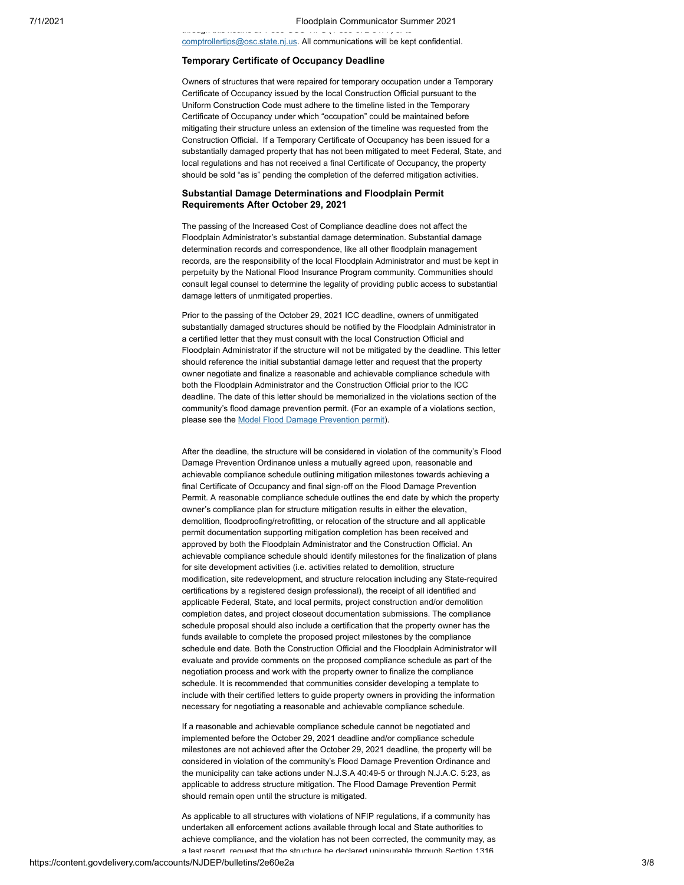$t_1$  is the state at 1  $s_1$  s  $s_2$  or to to to the state of  $1$ [comptrollertips@osc.state.nj.us.](mailto:comptrollertips@osc.state.nj.us) All communications will be kept confidential.

#### **Temporary Certificate of Occupancy Deadline**

Owners of structures that were repaired for temporary occupation under a Temporary Certificate of Occupancy issued by the local Construction Official pursuant to the Uniform Construction Code must adhere to the timeline listed in the Temporary Certificate of Occupancy under which "occupation" could be maintained before mitigating their structure unless an extension of the timeline was requested from the Construction Official. If a Temporary Certificate of Occupancy has been issued for a substantially damaged property that has not been mitigated to meet Federal, State, and local regulations and has not received a final Certificate of Occupancy, the property should be sold "as is" pending the completion of the deferred mitigation activities.

#### **Substantial Damage Determinations and Floodplain Permit Requirements After October 29, 2021**

The passing of the Increased Cost of Compliance deadline does not affect the Floodplain Administrator's substantial damage determination. Substantial damage determination records and correspondence, like all other floodplain management records, are the responsibility of the local Floodplain Administrator and must be kept in perpetuity by the National Flood Insurance Program community. Communities should consult legal counsel to determine the legality of providing public access to substantial damage letters of unmitigated properties.

Prior to the passing of the October 29, 2021 ICC deadline, owners of unmitigated substantially damaged structures should be notified by the Floodplain Administrator in a certified letter that they must consult with the local Construction Official and Floodplain Administrator if the structure will not be mitigated by the deadline. This letter should reference the initial substantial damage letter and request that the property owner negotiate and finalize a reasonable and achievable compliance schedule with both the Floodplain Administrator and the Construction Official prior to the ICC deadline. The date of this letter should be memorialized in the violations section of the community's flood damage prevention permit. (For an example of a violations section, please see the **Model Flood Damage Prevention permit**).

After the deadline, the structure will be considered in violation of the community's Flood Damage Prevention Ordinance unless a mutually agreed upon, reasonable and achievable compliance schedule outlining mitigation milestones towards achieving a final Certificate of Occupancy and final sign-off on the Flood Damage Prevention Permit. A reasonable compliance schedule outlines the end date by which the property owner's compliance plan for structure mitigation results in either the elevation, demolition, floodproofing/retrofitting, or relocation of the structure and all applicable permit documentation supporting mitigation completion has been received and approved by both the Floodplain Administrator and the Construction Official. An achievable compliance schedule should identify milestones for the finalization of plans for site development activities (i.e. activities related to demolition, structure modification, site redevelopment, and structure relocation including any State-required certifications by a registered design professional), the receipt of all identified and applicable Federal, State, and local permits, project construction and/or demolition completion dates, and project closeout documentation submissions. The compliance schedule proposal should also include a certification that the property owner has the funds available to complete the proposed project milestones by the compliance schedule end date. Both the Construction Official and the Floodplain Administrator will evaluate and provide comments on the proposed compliance schedule as part of the negotiation process and work with the property owner to finalize the compliance schedule. It is recommended that communities consider developing a template to include with their certified letters to guide property owners in providing the information necessary for negotiating a reasonable and achievable compliance schedule.

If a reasonable and achievable compliance schedule cannot be negotiated and implemented before the October 29, 2021 deadline and/or compliance schedule milestones are not achieved after the October 29, 2021 deadline, the property will be considered in violation of the community's Flood Damage Prevention Ordinance and the municipality can take actions under N.J.S.A 40:49-5 or through N.J.A.C. 5:23, as applicable to address structure mitigation. The Flood Damage Prevention Permit should remain open until the structure is mitigated.

As applicable to all structures with violations of NFIP regulations, if a community has undertaken all enforcement actions available through local and State authorities to achieve compliance, and the violation has not been corrected, the community may, as a last resort request that the structure be declared uninsurable through Section 1316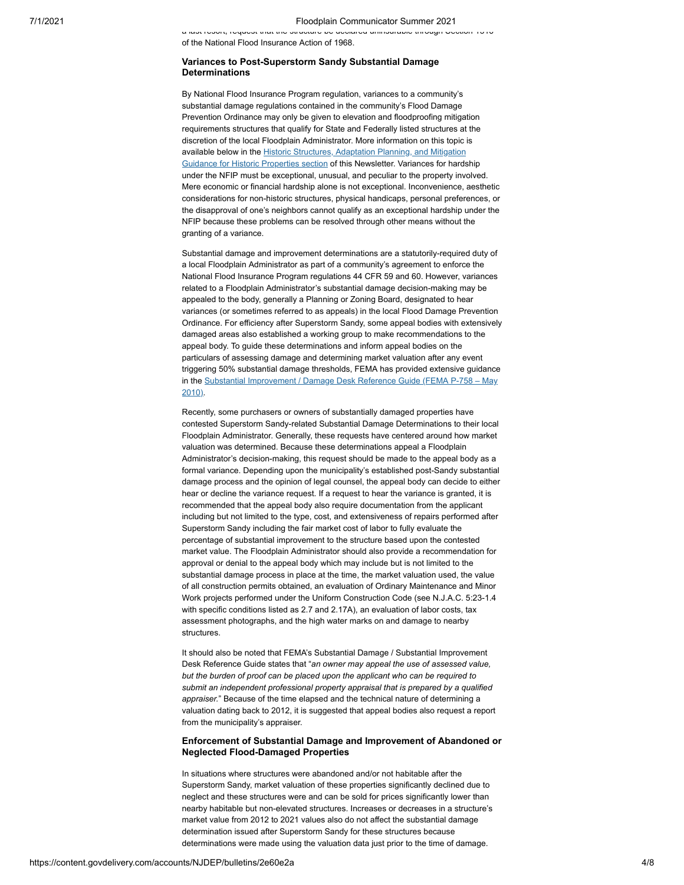a last resort, request that the structure be declared uninsurable through Section 1316 of the National Flood Insurance Action of 1968.

#### **Variances to Post-Superstorm Sandy Substantial Damage Determinations**

By National Flood Insurance Program regulation, variances to a community's substantial damage regulations contained in the community's Flood Damage Prevention Ordinance may only be given to elevation and floodproofing mitigation requirements structures that qualify for State and Federally listed structures at the discretion of the local Floodplain Administrator. More information on this topic is available below in the **Historic Structures**, Adaptation Planning, and Mitigation [Guidance for Historic Properties section of this Newsletter. Variances for hards](#page-5-0)hip under the NFIP must be exceptional, unusual, and peculiar to the property involved. Mere economic or financial hardship alone is not exceptional. Inconvenience, aesthetic considerations for non-historic structures, physical handicaps, personal preferences, or the disapproval of one's neighbors cannot qualify as an exceptional hardship under the NFIP because these problems can be resolved through other means without the granting of a variance.

Substantial damage and improvement determinations are a statutorily-required duty of a local Floodplain Administrator as part of a community's agreement to enforce the National Flood Insurance Program regulations 44 CFR 59 and 60. However, variances related to a Floodplain Administrator's substantial damage decision-making may be appealed to the body, generally a Planning or Zoning Board, designated to hear variances (or sometimes referred to as appeals) in the local Flood Damage Prevention Ordinance. For efficiency after Superstorm Sandy, some appeal bodies with extensively damaged areas also established a working group to make recommendations to the appeal body. To guide these determinations and inform appeal bodies on the particulars of assessing damage and determining market valuation after any event triggering 50% substantial damage thresholds, FEMA has provided extensive guidance in the Substantial Improvement / Damage Desk Reference Guide (FEMA P-758 - May 2010).

Recently, some purchasers or owners of substantially damaged properties have contested Superstorm Sandy-related Substantial Damage Determinations to their local Floodplain Administrator. Generally, these requests have centered around how market valuation was determined. Because these determinations appeal a Floodplain Administrator's decision-making, this request should be made to the appeal body as a formal variance. Depending upon the municipality's established post-Sandy substantial damage process and the opinion of legal counsel, the appeal body can decide to either hear or decline the variance request. If a request to hear the variance is granted, it is recommended that the appeal body also require documentation from the applicant including but not limited to the type, cost, and extensiveness of repairs performed after Superstorm Sandy including the fair market cost of labor to fully evaluate the percentage of substantial improvement to the structure based upon the contested market value. The Floodplain Administrator should also provide a recommendation for approval or denial to the appeal body which may include but is not limited to the substantial damage process in place at the time, the market valuation used, the value of all construction permits obtained, an evaluation of Ordinary Maintenance and Minor Work projects performed under the Uniform Construction Code (see N.J.A.C. 5:23-1.4 with specific conditions listed as 2.7 and 2.17A), an evaluation of labor costs, tax assessment photographs, and the high water marks on and damage to nearby structures.

It should also be noted that FEMA's Substantial Damage / Substantial Improvement Desk Reference Guide states that "*an owner may appeal the use of assessed value, but the burden of proof can be placed upon the applicant who can be required to submit an independent professional property appraisal that is prepared by a qualified appraiser.*" Because of the time elapsed and the technical nature of determining a valuation dating back to 2012, it is suggested that appeal bodies also request a report from the municipality's appraiser.

#### **Enforcement of Substantial Damage and Improvement of Abandoned or Neglected Flood-Damaged Properties**

In situations where structures were abandoned and/or not habitable after the Superstorm Sandy, market valuation of these properties significantly declined due to neglect and these structures were and can be sold for prices significantly lower than nearby habitable but non-elevated structures. Increases or decreases in a structure's market value from 2012 to 2021 values also do not affect the substantial damage determination issued after Superstorm Sandy for these structures because determinations were made using the valuation data just prior to the time of damage.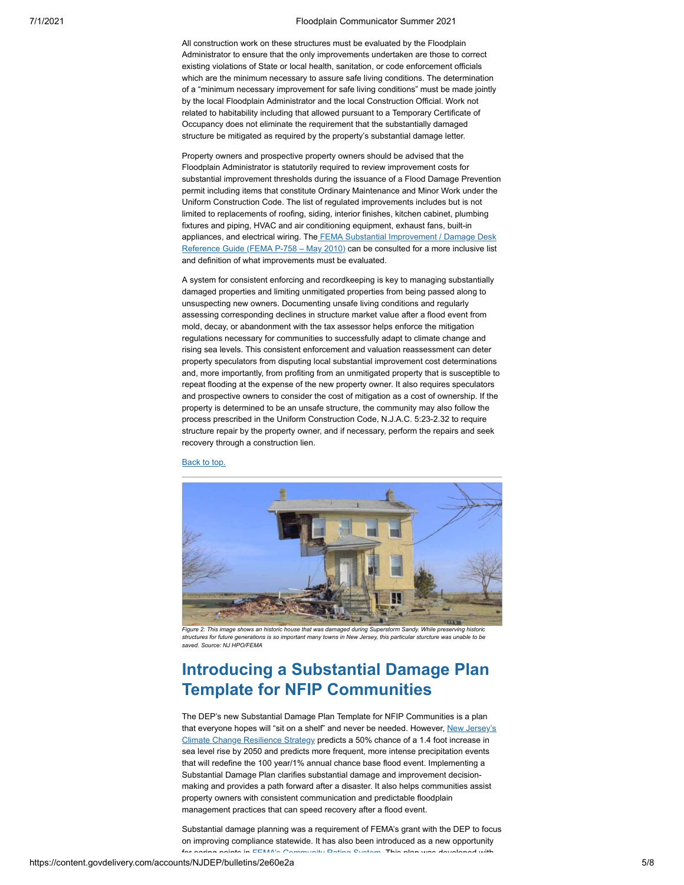All construction work on these structures must be evaluated by the Floodplain Administrator to ensure that the only improvements undertaken are those to correct existing violations of State or local health, sanitation, or code enforcement officials which are the minimum necessary to assure safe living conditions. The determination of a "minimum necessary improvement for safe living conditions" must be made jointly by the local Floodplain Administrator and the local Construction Official. Work not related to habitability including that allowed pursuant to a Temporary Certificate of Occupancy does not eliminate the requirement that the substantially damaged structure be mitigated as required by the property's substantial damage letter.

Property owners and prospective property owners should be advised that the Floodplain Administrator is statutorily required to review improvement costs for substantial improvement thresholds during the issuance of a Flood Damage Prevention permit including items that constitute Ordinary Maintenance and Minor Work under the Uniform Construction Code. The list of regulated improvements includes but is not limited to replacements of roofing, siding, interior finishes, kitchen cabinet, plumbing fixtures and piping, HVAC and air conditioning equipment, exhaust fans, built-in appliances, and electrical wiring. The **FEMA Substantial Improvement / Damage Desk** [Reference Guide \(FEMA P-758 – May 2010\) can be consulted for a more inclusive list](https://www.fema.gov/sites/default/files/2020-07/fema_nfip_substantial-improvement-substantial-damage-desk-reference.pdf?utm_medium=email&utm_source=govdelivery) and definition of what improvements must be evaluated.

A system for consistent enforcing and recordkeeping is key to managing substantially damaged properties and limiting unmitigated properties from being passed along to unsuspecting new owners. Documenting unsafe living conditions and regularly assessing corresponding declines in structure market value after a flood event from mold, decay, or abandonment with the tax assessor helps enforce the mitigation regulations necessary for communities to successfully adapt to climate change and rising sea levels. This consistent enforcement and valuation reassessment can deter property speculators from disputing local substantial improvement cost determinations and, more importantly, from profiting from an unmitigated property that is susceptible to repeat flooding at the expense of the new property owner. It also requires speculators and prospective owners to consider the cost of mitigation as a cost of ownership. If the property is determined to be an unsafe structure, the community may also follow the process prescribed in the Uniform Construction Code, N.J.A.C. 5:23-2.32 to require structure repair by the property owner, and if necessary, perform the repairs and seek recovery through a construction lien.

[Back to top.](#page-0-0)



structures for future generations is so important many towns in New Jersey, this particular sturcture was unable to be *saved. Source: NJ HPO/FEMA*

## <span id="page-4-0"></span>**Introducing a Substantial Damage Plan Template for NFIP Communities**

The DEP's new Substantial Damage Plan Template for NFIP Communities is a plan [that everyone hopes will "sit on a shelf" and never be needed. However, New Jersey's](https://www.nj.gov/dep/climatechange/resilience-strategy.html?utm_medium=email&utm_source=govdelivery) Climate Change Resilience Strategy predicts a 50% chance of a 1.4 foot increase in sea level rise by 2050 and predicts more frequent, more intense precipitation events that will redefine the 100 year/1% annual chance base flood event. Implementing a Substantial Damage Plan clarifies substantial damage and improvement decisionmaking and provides a path forward after a disaster. It also helps communities assist property owners with consistent communication and predictable floodplain management practices that can speed recovery after a flood event.

Substantial damage planning was a requirement of FEMA's grant with the DEP to focus on improving compliance statewide. It has also been introduced as a new opportunity for earing points in FEMA's [Community](https://crsresources.org/manual/?utm_medium=email&utm_source=govdelivery) Rating System This plan was developed with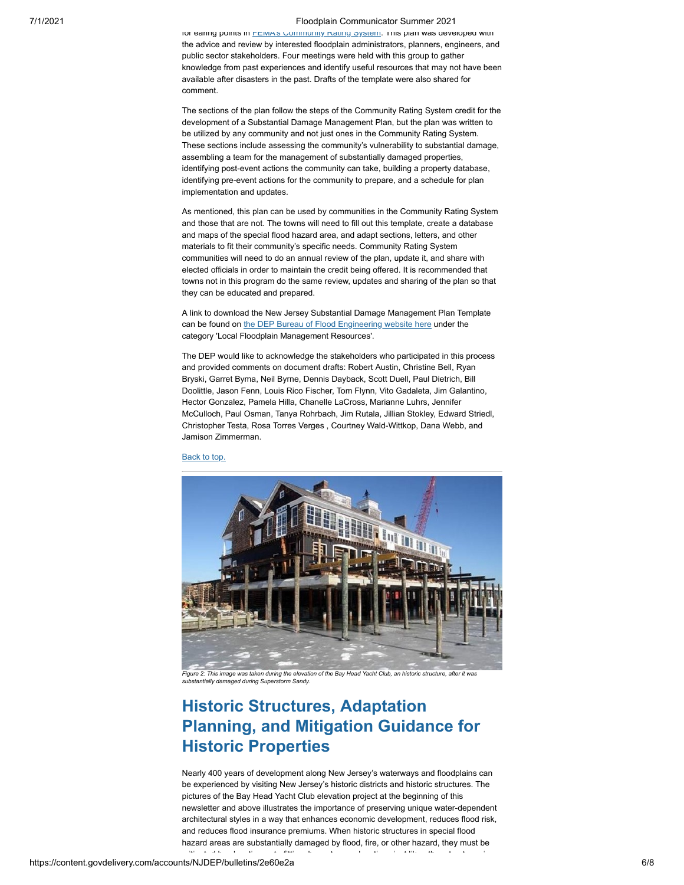#### 7/1/2021 Floodplain Communicator Summer 2021

for earing points in FEMAS Community Rating System. This plan was developed with the advice and review by interested floodplain administrators, planners, engineers, and public sector stakeholders. Four meetings were held with this group to gather knowledge from past experiences and identify useful resources that may not have been available after disasters in the past. Drafts of the template were also shared for comment.

The sections of the plan follow the steps of the Community Rating System credit for the development of a Substantial Damage Management Plan, but the plan was written to be utilized by any community and not just ones in the Community Rating System. These sections include assessing the community's vulnerability to substantial damage, assembling a team for the management of substantially damaged properties, identifying post-event actions the community can take, building a property database, identifying pre-event actions for the community to prepare, and a schedule for plan implementation and updates.

As mentioned, this plan can be used by communities in the Community Rating System and those that are not. The towns will need to fill out this template, create a database and maps of the special flood hazard area, and adapt sections, letters, and other materials to fit their community's specific needs. Community Rating System communities will need to do an annual review of the plan, update it, and share with elected officials in order to maintain the credit being offered. It is recommended that towns not in this program do the same review, updates and sharing of the plan so that they can be educated and prepared.

A link to download the New Jersey Substantial Damage Management Plan Template can be found on [the DEP Bureau of Flood Engineering website here](https://www.nj.gov/dep/floodcontrol/links.htm?utm_medium=email&utm_source=govdelivery) under the category 'Local Floodplain Management Resources'.

The DEP would like to acknowledge the stakeholders who participated in this process and provided comments on document drafts: Robert Austin, Christine Bell, Ryan Bryski, Garret Byma, Neil Byrne, Dennis Dayback, Scott Duell, Paul Dietrich, Bill Doolittle, Jason Fenn, Louis Rico Fischer, Tom Flynn, Vito Gadaleta, Jim Galantino, Hector Gonzalez, Pamela Hilla, Chanelle LaCross, Marianne Luhrs, Jennifer McCulloch, Paul Osman, Tanya Rohrbach, Jim Rutala, Jillian Stokley, Edward Striedl, Christopher Testa, Rosa Torres Verges , Courtney Wald-Wittkop, Dana Webb, and Jamison Zimmerman.

[Back to top.](#page-0-0)



Figure 2: This image was taken during the elevation of the Bay Head Yacht Club, an historic structure, after it was *substantially damaged during Superstorm Sandy.*

# <span id="page-5-0"></span>**Historic Structures, Adaptation Planning, and Mitigation Guidance for Historic Properties**

Nearly 400 years of development along New Jersey's waterways and floodplains can be experienced by visiting New Jersey's historic districts and historic structures. The pictures of the Bay Head Yacht Club elevation project at the beginning of this newsletter and above illustrates the importance of preserving unique water-dependent architectural styles in a way that enhances economic development, reduces flood risk, and reduces flood insurance premiums. When historic structures in special flood hazard areas are substantially damaged by flood, fire, or other hazard, they must be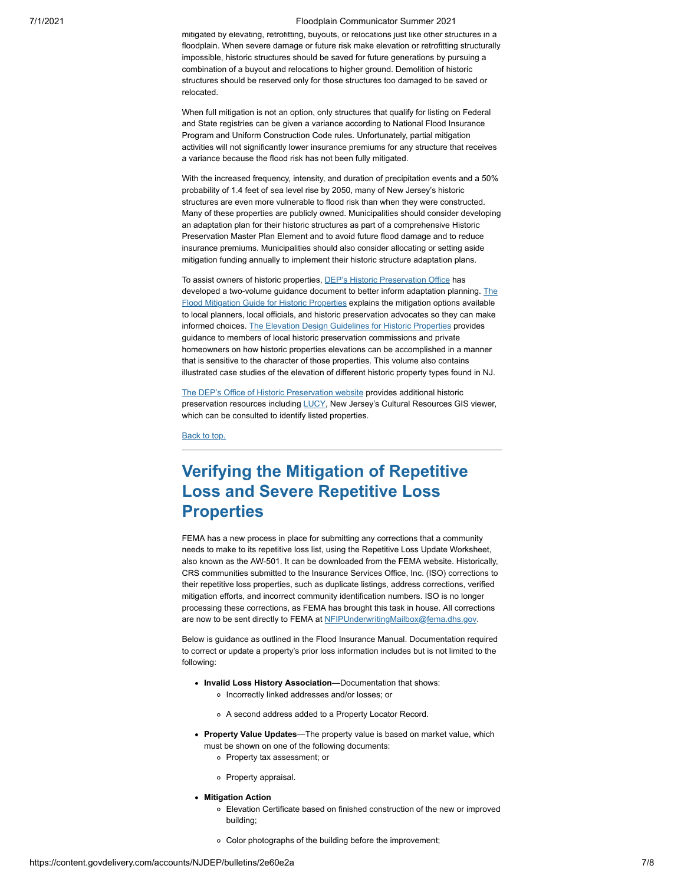#### 7/1/2021 Floodplain Communicator Summer 2021

mitigated by elevating, retrofitting, buyouts, or relocations just like other structures in a floodplain. When severe damage or future risk make elevation or retrofitting structurally impossible, historic structures should be saved for future generations by pursuing a combination of a buyout and relocations to higher ground. Demolition of historic structures should be reserved only for those structures too damaged to be saved or relocated.

When full mitigation is not an option, only structures that qualify for listing on Federal and State registries can be given a variance according to National Flood Insurance Program and Uniform Construction Code rules. Unfortunately, partial mitigation activities will not significantly lower insurance premiums for any structure that receives a variance because the flood risk has not been fully mitigated.

With the increased frequency, intensity, and duration of precipitation events and a 50% probability of 1.4 feet of sea level rise by 2050, many of New Jersey's historic structures are even more vulnerable to flood risk than when they were constructed. Many of these properties are publicly owned. Municipalities should consider developing an adaptation plan for their historic structures as part of a comprehensive Historic Preservation Master Plan Element and to avoid future flood damage and to reduce insurance premiums. Municipalities should also consider allocating or setting aside mitigation funding annually to implement their historic structure adaptation plans.

To assist owners of historic properties, [DEP's Historic Preservation Office](https://www.state.nj.us/dep/hpo/?utm_medium=email&utm_source=govdelivery#:~:text=Mailing%20Address%3A%20Mail%20Code%20501-04B%20State%20of%20New,NJ%2008625-0420%20TEL%3A%20%28609%29%20984-0176%20FAX%3A%20%28609%29%20984-0578) has [developed a two-volume guidance document to better inform adaptation planning. The](https://www.nj.gov/dep/hpo/images/_MULT_DG_32_v1_ID14076r.pdf?utm_medium=email&utm_source=govdelivery) Flood Mitigation Guide for Historic Properties explains the mitigation options available to local planners, local officials, and historic preservation advocates so they can make informed choices. [The Elevation Design Guidelines for Historic Properties](https://www.nj.gov/dep/hpo/images/_MULT_DG_32_v2_ID14078r.pdf?utm_medium=email&utm_source=govdelivery) provides guidance to members of local historic preservation commissions and private homeowners on how historic properties elevations can be accomplished in a manner that is sensitive to the character of those properties. This volume also contains illustrated case studies of the elevation of different historic property types found in NJ.

[The DEP's Office of Historic Preservation website](https://www.state.nj.us/dep/hpo/?utm_medium=email&utm_source=govdelivery#:~:text=Mailing%20Address%3A%20Mail%20Code%20501-04B%20State%20of%20New,NJ%2008625-0420%20TEL%3A%20%28609%29%20984-0176%20FAX%3A%20%28609%29%20984-0578) provides additional historic preservation resources including [LUCY,](https://njdep.maps.arcgis.com/apps/webappviewer/index.html?id=44ce3eb3c53349639040fe205d69bb79&utm_medium=email&utm_source=govdelivery) New Jersey's Cultural Resources GIS viewer, which can be consulted to identify listed properties.

[Back to top.](#page-0-0)

### <span id="page-6-0"></span>**Verifying the Mitigation of Repetitive Loss and Severe Repetitive Loss Properties**

FEMA has a new process in place for submitting any corrections that a community needs to make to its repetitive loss list, using the Repetitive Loss Update Worksheet, also known as the AW-501. It can be downloaded from the FEMA website. Historically, CRS communities submitted to the Insurance Services Office, Inc. (ISO) corrections to their repetitive loss properties, such as duplicate listings, address corrections, verified mitigation efforts, and incorrect community identification numbers. ISO is no longer processing these corrections, as FEMA has brought this task in house. All corrections are now to be sent directly to FEMA at [NFIPUnderwritingMailbox@fema.dhs.gov](mailto:NFIPUnderwritingMailbox@fema.dhs.gov).

Below is guidance as outlined in the Flood Insurance Manual. Documentation required to correct or update a property's prior loss information includes but is not limited to the following:

- **Invalid Loss History Association**—Documentation that shows: o Incorrectly linked addresses and/or losses; or
	-
	- A second address added to a Property Locator Record.
- **Property Value Updates**—The property value is based on market value, which must be shown on one of the following documents:
	- Property tax assessment; or
	- Property appraisal.
- **Mitigation Action**
	- Elevation Certificate based on finished construction of the new or improved building;
	- Color photographs of the building before the improvement;